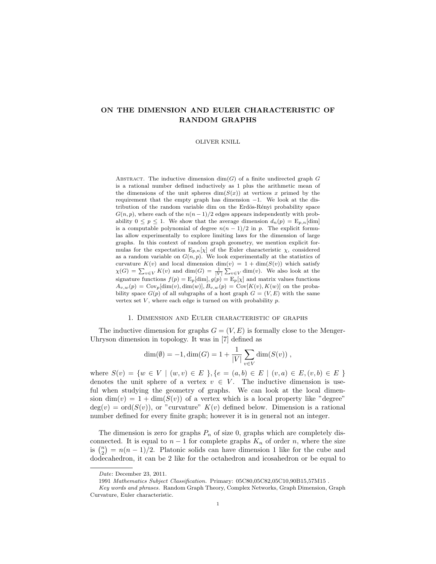# ON THE DIMENSION AND EULER CHARACTERISTIC OF RANDOM GRAPHS

#### OLIVER KNILL

ABSTRACT. The inductive dimension  $\dim(G)$  of a finite undirected graph G is a rational number defined inductively as 1 plus the arithmetic mean of the dimensions of the unit spheres  $\dim(S(x))$  at vertices x primed by the requirement that the empty graph has dimension −1. We look at the distribution of the random variable dim on the Erdös-Rényi probability space  $G(n, p)$ , where each of the  $n(n-1)/2$  edges appears independently with probability  $0 \le p \le 1$ . We show that the average dimension  $d_n(p) = \mathbb{E}_{p,n}[\text{dim}]$ is a computable polynomial of degree  $n(n-1)/2$  in p. The explicit formulas allow experimentally to explore limiting laws for the dimension of large graphs. In this context of random graph geometry, we mention explicit formulas for the expectation  $E_{p,n}[\chi]$  of the Euler characteristic  $\chi$ , considered as a random variable on  $G(n, p)$ . We look experimentally at the statistics of curvature  $K(v)$  and local dimension  $\dim(v) = 1 + \dim(S(v))$  which satisfy  $\chi(G) = \sum_{v \in V} K(v)$  and  $\dim(G) = \frac{1}{|V|} \sum_{v \in V} \dim(v)$ . We also look at the signature functions  $f(p) = \mathbb{E}_p[\dim], g(p) = \mathbb{E}_p[\chi]$  and matrix values functions  $A_{v,w}(p) = \text{Cov}_p[\text{dim}(v), \text{dim}(w)], B_{v,w}(p) = \text{Cov}[K(v), K(w)]$  on the probability space  $G(p)$  of all subgraphs of a host graph  $G = (V, E)$  with the same vertex set  $V$ , where each edge is turned on with probability  $p$ .

## 1. Dimension and Euler characteristic of graphs

The inductive dimension for graphs  $G = (V, E)$  is formally close to the Menger-Uhryson dimension in topology. It was in [7] defined as

$$
\dim(\emptyset) = -1, \dim(G) = 1 + \frac{1}{|V|} \sum_{v \in V} \dim(S(v)),
$$

where  $S(v) = \{w \in V \mid (w, v) \in E\}$ ,  $\{e = (a, b) \in E \mid (v, a) \in E, (v, b) \in E\}$ denotes the unit sphere of a vertex  $v \in V$ . The inductive dimension is useful when studying the geometry of graphs. We can look at the local dimension dim(v) =  $1 + \dim(S(v))$  of a vertex which is a local property like "degree"  $deg(v) = ord(S(v))$ , or "curvature"  $K(v)$  defined below. Dimension is a rational number defined for every finite graph; however it is in general not an integer.

The dimension is zero for graphs  $P_n$  of size 0, graphs which are completely disconnected. It is equal to  $n-1$  for complete graphs  $K_n$  of order n, where the size is  $\binom{n}{2} = n(n-1)/2$ . Platonic solids can have dimension 1 like for the cube and dodecahedron, it can be 2 like for the octahedron and icosahedron or be equal to

Date: December 23, 2011.

<sup>1991</sup> Mathematics Subject Classification. Primary: 05C80,05C82,05C10,90B15,57M15 .

Key words and phrases. Random Graph Theory, Complex Networks, Graph Dimension, Graph Curvature, Euler characteristic.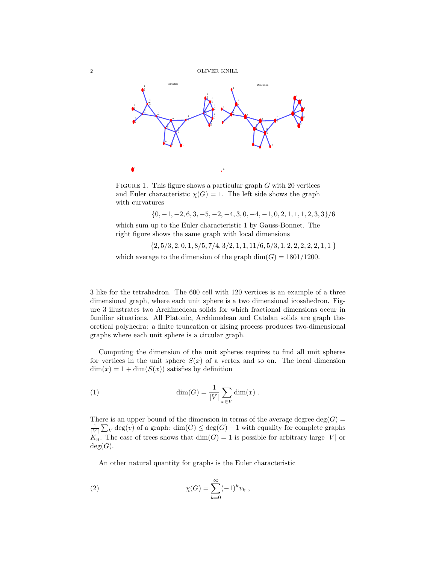

FIGURE 1. This figure shows a particular graph  $G$  with 20 vertices and Euler characteristic  $\chi(G) = 1$ . The left side shows the graph with curvatures

 $\{0, -1, -2, 6, 3, -5, -2, -4, 3, 0, -4, -1, 0, 2, 1, 1, 1, 2, 3, 3\}/6$ 

which sum up to the Euler characteristic 1 by Gauss-Bonnet. The right figure shows the same graph with local dimensions

 $\{2, 5/3, 2, 0, 1, 8/5, 7/4, 3/2, 1, 1, 11/6, 5/3, 1, 2, 2, 2, 2, 2, 1, 1\}$ which average to the dimension of the graph  $\dim(G) = 1801/1200$ .

3 like for the tetrahedron. The 600 cell with 120 vertices is an example of a three dimensional graph, where each unit sphere is a two dimensional icosahedron. Figure 3 illustrates two Archimedean solids for which fractional dimensions occur in familiar situations. All Platonic, Archimedean and Catalan solids are graph theoretical polyhedra: a finite truncation or kising process produces two-dimensional graphs where each unit sphere is a circular graph.

Computing the dimension of the unit spheres requires to find all unit spheres for vertices in the unit sphere  $S(x)$  of a vertex and so on. The local dimension  $\dim(x) = 1 + \dim(S(x))$  satisfies by definition

(1) 
$$
\dim(G) = \frac{1}{|V|} \sum_{x \in V} \dim(x) .
$$

There is an upper bound of the dimension in terms of the average degree deg( $G$ ) =  $\frac{1}{|V|} \sum_{V} \deg(v)$  of a graph:  $\dim(G) \leq \deg(G) - 1$  with equality for complete graphs  $K_n$ . The case of trees shows that  $dim(G) = 1$  is possible for arbitrary large |V| or  $deg(G)$ .

An other natural quantity for graphs is the Euler characteristic

(2) 
$$
\chi(G) = \sum_{k=0}^{\infty} (-1)^k v_k,
$$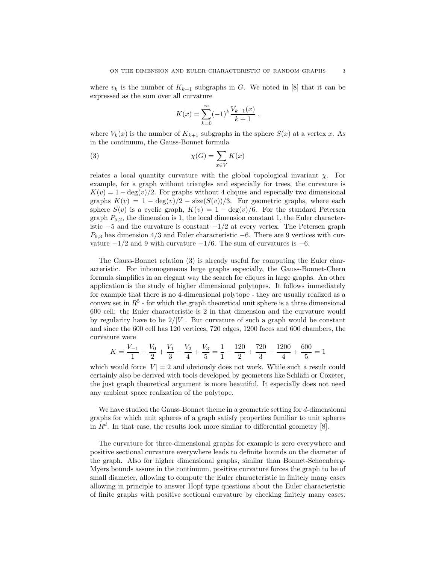where  $v_k$  is the number of  $K_{k+1}$  subgraphs in G. We noted in [8] that it can be expressed as the sum over all curvature

$$
K(x) = \sum_{k=0}^{\infty} (-1)^k \frac{V_{k-1}(x)}{k+1} ,
$$

where  $V_k(x)$  is the number of  $K_{k+1}$  subgraphs in the sphere  $S(x)$  at a vertex x. As in the continuum, the Gauss-Bonnet formula

(3) 
$$
\chi(G) = \sum_{x \in V} K(x)
$$

relates a local quantity curvature with the global topological invariant  $\chi$ . For example, for a graph without triangles and especially for trees, the curvature is  $K(v) = 1 - \deg(v)/2$ . For graphs without 4 cliques and especially two dimensional graphs  $K(v) = 1 - \deg(v)/2 - \text{size}(S(v))/3$ . For geometric graphs, where each sphere  $S(v)$  is a cyclic graph,  $K(v) = 1 - \deg(v)/6$ . For the standard Petersen graph  $P_{5,2}$ , the dimension is 1, the local dimension constant 1, the Euler characteristic  $-5$  and the curvature is constant  $-1/2$  at every vertex. The Petersen graph  $P_{9,3}$  has dimension 4/3 and Euler characteristic −6. There are 9 vertices with curvature  $-1/2$  and 9 with curvature  $-1/6$ . The sum of curvatures is  $-6$ .

The Gauss-Bonnet relation (3) is already useful for computing the Euler characteristic. For inhomogeneous large graphs especially, the Gauss-Bonnet-Chern formula simplifies in an elegant way the search for cliques in large graphs. An other application is the study of higher dimensional polytopes. It follows immediately for example that there is no 4-dimensional polytope - they are usually realized as a convex set in  $R<sup>5</sup>$  - for which the graph theoretical unit sphere is a three dimensional 600 cell: the Euler characteristic is 2 in that dimension and the curvature would by regularity have to be  $2/|V|$ . But curvature of such a graph would be constant and since the 600 cell has 120 vertices, 720 edges, 1200 faces and 600 chambers, the curvature were

$$
K = \frac{V_{-1}}{1} - \frac{V_0}{2} + \frac{V_1}{3} - \frac{V_2}{4} + \frac{V_3}{5} = \frac{1}{1} - \frac{120}{2} + \frac{720}{3} - \frac{1200}{4} + \frac{600}{5} = 1
$$

which would force  $|V| = 2$  and obviously does not work. While such a result could certainly also be derived with tools developed by geometers like Schläfli or Coxeter, the just graph theoretical argument is more beautiful. It especially does not need any ambient space realization of the polytope.

We have studied the Gauss-Bonnet theme in a geometric setting for  $d$ -dimensional graphs for which unit spheres of a graph satisfy properties familiar to unit spheres in  $R<sup>d</sup>$ . In that case, the results look more similar to differential geometry [8].

The curvature for three-dimensional graphs for example is zero everywhere and positive sectional curvature everywhere leads to definite bounds on the diameter of the graph. Also for higher dimensional graphs, similar than Bonnet-Schoenberg-Myers bounds assure in the continuum, positive curvature forces the graph to be of small diameter, allowing to compute the Euler characteristic in finitely many cases allowing in principle to answer Hopf type questions about the Euler characteristic of finite graphs with positive sectional curvature by checking finitely many cases.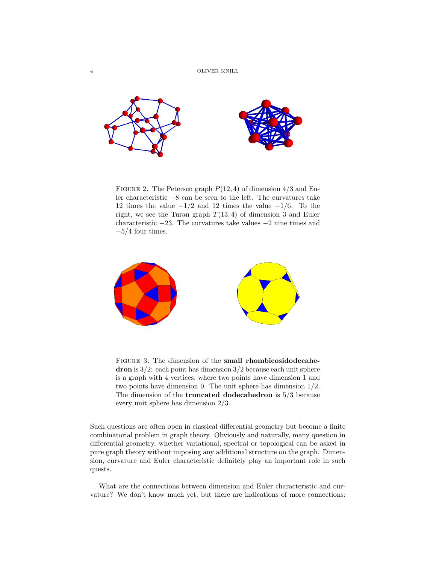

FIGURE 2. The Petersen graph  $P(12, 4)$  of dimension  $4/3$  and Euler characteristic −8 can be seen to the left. The curvatures take 12 times the value  $-1/2$  and 12 times the value  $-1/6$ . To the right, we see the Turan graph  $T(13, 4)$  of dimension 3 and Euler characteristic −23. The curvatures take values −2 nine times and  $-5/4$  four times.



FIGURE 3. The dimension of the small rhombicosidodecahedron is 3/2: each point has dimension 3/2 because each unit sphere is a graph with 4 vertices, where two points have dimension 1 and two points have dimension 0. The unit sphere has dimension 1/2. The dimension of the truncated dodecahedron is 5/3 because every unit sphere has dimension 2/3.

Such questions are often open in classical differential geometry but become a finite combinatorial problem in graph theory. Obviously and naturally, many question in differential geometry, whether variational, spectral or topological can be asked in pure graph theory without imposing any additional structure on the graph. Dimension, curvature and Euler characteristic definitely play an important role in such quests.

What are the connections between dimension and Euler characteristic and curvature? We don't know much yet, but there are indications of more connections: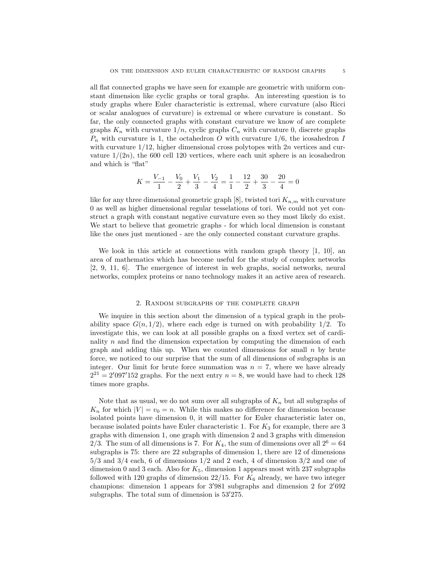all flat connected graphs we have seen for example are geometric with uniform constant dimension like cyclic graphs or toral graphs. An interesting question is to study graphs where Euler characteristic is extremal, where curvature (also Ricci or scalar analogues of curvature) is extremal or where curvature is constant. So far, the only connected graphs with constant curvature we know of are complete graphs  $K_n$  with curvature  $1/n$ , cyclic graphs  $C_n$  with curvature 0, discrete graphs  $P_n$  with curvature is 1, the octahedron O with curvature 1/6, the icosahedron I with curvature  $1/12$ , higher dimensional cross polytopes with  $2n$  vertices and curvature  $1/(2n)$ , the 600 cell 120 vertices, where each unit sphere is an icosahedron and which is "flat"

$$
K = \frac{V_{-1}}{1} - \frac{V_0}{2} + \frac{V_1}{3} - \frac{V_2}{4} = \frac{1}{1} - \frac{12}{2} + \frac{30}{3} - \frac{20}{4} = 0
$$

like for any three dimensional geometric graph [8], twisted tori  $K_{n,m}$  with curvature 0 as well as higher dimensional regular tesselations of tori. We could not yet construct a graph with constant negative curvature even so they most likely do exist. We start to believe that geometric graphs - for which local dimension is constant like the ones just mentioned - are the only connected constant curvature graphs.

We look in this article at connections with random graph theory  $[1, 10]$ , an area of mathematics which has become useful for the study of complex networks [2, 9, 11, 6]. The emergence of interest in web graphs, social networks, neural networks, complex proteins or nano technology makes it an active area of research.

#### 2. Random subgraphs of the complete graph

We inquire in this section about the dimension of a typical graph in the probability space  $G(n, 1/2)$ , where each edge is turned on with probability 1/2. To investigate this, we can look at all possible graphs on a fixed vertex set of cardinality  $n$  and find the dimension expectation by computing the dimension of each graph and adding this up. When we counted dimensions for small  $n$  by brute force, we noticed to our surprise that the sum of all dimensions of subgraphs is an integer. Our limit for brute force summation was  $n = 7$ , where we have already  $2^{21} = 2'097'152$  graphs. For the next entry  $n = 8$ , we would have had to check 128 times more graphs.

Note that as usual, we do not sum over all subgraphs of  $K_n$  but all subgraphs of  $K_n$  for which  $|V| = v_0 = n$ . While this makes no difference for dimension because isolated points have dimension 0, it will matter for Euler characteristic later on, because isolated points have Euler characteristic 1. For  $K_3$  for example, there are 3 graphs with dimension 1, one graph with dimension 2 and 3 graphs with dimension 2/3. The sum of all dimensions is 7. For  $K_4$ , the sum of dimensions over all  $2^6 = 64$ subgraphs is 75: there are 22 subgraphs of dimension 1, there are 12 of dimensions  $5/3$  and  $3/4$  each, 6 of dimensions  $1/2$  and 2 each, 4 of dimension  $3/2$  and one of dimension 0 and 3 each. Also for  $K_5$ , dimension 1 appears most with 237 subgraphs followed with 120 graphs of dimension 22/15. For  $K_6$  already, we have two integer champions: dimension 1 appears for  $3'981$  subgraphs and dimension 2 for  $2'692$ subgraphs. The total sum of dimension is  $53'275$ .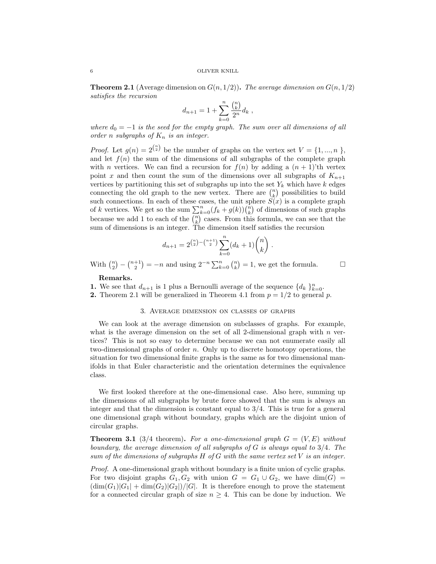**Theorem 2.1** (Average dimension on  $G(n, 1/2)$ ). The average dimension on  $G(n, 1/2)$ satisfies the recursion

$$
d_{n+1} = 1 + \sum_{k=0}^{n} \frac{\binom{n}{k}}{2^n} d_k,
$$

where  $d_0 = -1$  is the seed for the empty graph. The sum over all dimensions of all order n subgraphs of  $K_n$  is an integer.

*Proof.* Let  $g(n) = 2^{\binom{n}{2}}$  be the number of graphs on the vertex set  $V = \{1, ..., n\}$ , and let  $f(n)$  the sum of the dimensions of all subgraphs of the complete graph with *n* vertices. We can find a recursion for  $f(n)$  by adding a  $(n + 1)$ 'th vertex point x and then count the sum of the dimensions over all subgraphs of  $K_{n+1}$ vertices by partitioning this set of subgraphs up into the set  $Y_k$  which have k edges connecting the old graph to the new vertex. There are  $\binom{n}{k}$  possibilities to build such connections. In each of these cases, the unit sphere  $S(x)$  is a complete graph of k vertices. We get so the sum  $\sum_{k=0}^{n} (f_k + g(k)) \binom{n}{k}$  of dimensions of such graphs because we add 1 to each of the  $\binom{n}{k}$  cases. From this formula, we can see that the sum of dimensions is an integer. The dimension itself satisfies the recursion

$$
d_{n+1} = 2^{\binom{n}{2} - \binom{n+1}{2}} \sum_{k=0}^{n} (d_k + 1) \binom{n}{k}.
$$

With  $\binom{n}{2} - \binom{n+1}{2} = -n$  and using  $2^{-n} \sum_{k=0}^{n} \binom{n}{k} = 1$ , we get the formula.

#### Remarks.

**1.** We see that  $d_{n+1}$  is 1 plus a Bernoulli average of the sequence  $\{d_k\}_{k=0}^n$ .

**2.** Theorem 2.1 will be generalized in Theorem 4.1 from  $p = 1/2$  to general p.

## 3. Average dimension on classes of graphs

We can look at the average dimension on subclasses of graphs. For example, what is the average dimension on the set of all 2-dimensional graph with  $n$  vertices? This is not so easy to determine because we can not enumerate easily all two-dimensional graphs of order n. Only up to discrete homotopy operations, the situation for two dimensional finite graphs is the same as for two dimensional manifolds in that Euler characteristic and the orientation determines the equivalence class.

We first looked therefore at the one-dimensional case. Also here, summing up the dimensions of all subgraphs by brute force showed that the sum is always an integer and that the dimension is constant equal to  $3/4$ . This is true for a general one dimensional graph without boundary, graphs which are the disjoint union of circular graphs.

**Theorem 3.1** (3/4 theorem). For a one-dimensional graph  $G = (V, E)$  without boundary, the average dimension of all subgraphs of  $G$  is always equal to  $3/4$ . The sum of the dimensions of subgraphs  $H$  of  $G$  with the same vertex set  $V$  is an integer.

Proof. A one-dimensional graph without boundary is a finite union of cyclic graphs. For two disjoint graphs  $G_1, G_2$  with union  $G = G_1 \cup G_2$ , we have  $dim(G) =$  $(\dim(G_1)|G_1| + \dim(G_2)|G_2|)/|G|$ . It is therefore enough to prove the statement for a connected circular graph of size  $n \geq 4$ . This can be done by induction. We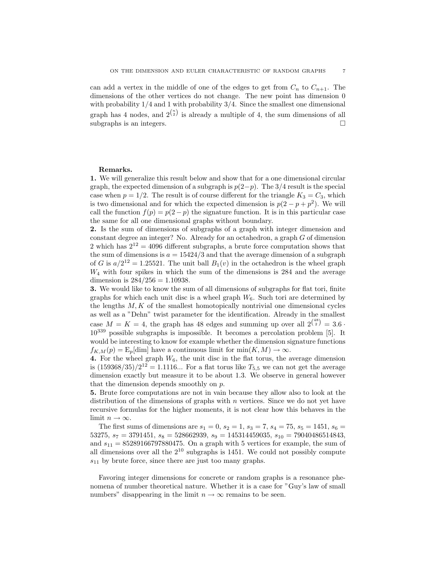can add a vertex in the middle of one of the edges to get from  $C_n$  to  $C_{n+1}$ . The dimensions of the other vertices do not change. The new point has dimension 0 with probability  $1/4$  and 1 with probability  $3/4$ . Since the smallest one dimensional graph has 4 nodes, and  $2^{n \choose 2}$  is already a multiple of 4, the sum dimensions of all subgraphs is an integers.  $\Box$ 

## Remarks.

1. We will generalize this result below and show that for a one dimensional circular graph, the expected dimension of a subgraph is  $p(2-p)$ . The 3/4 result is the special case when  $p = 1/2$ . The result is of course different for the triangle  $K_3 = C_3$ , which is two dimensional and for which the expected dimension is  $p(2 - p + p^2)$ . We will call the function  $f(p) = p(2-p)$  the signature function. It is in this particular case the same for all one dimensional graphs without boundary.

2. Is the sum of dimensions of subgraphs of a graph with integer dimension and constant degree an integer? No. Already for an octahedron, a graph G of dimension 2 which has  $2^{12} = 4096$  different subgraphs, a brute force computation shows that the sum of dimensions is  $a = 15424/3$  and that the average dimension of a subgraph of G is  $a/2^{12} = 1.25521$ . The unit ball  $B_1(v)$  in the octahedron is the wheel graph  $W_4$  with four spikes in which the sum of the dimensions is 284 and the average dimension is  $284/256 = 1.10938$ .

3. We would like to know the sum of all dimensions of subgraphs for flat tori, finite graphs for which each unit disc is a wheel graph  $W_6$ . Such tori are determined by the lengths  $M, K$  of the smallest homotopically nontrivial one dimensional cycles as well as a "Dehn" twist parameter for the identification. Already in the smallest case  $M = K = 4$ , the graph has 48 edges and summing up over all  $2^{48 \choose 2} = 3.6$ . 10<sup>339</sup> possible subgraphs is impossible. It becomes a percolation problem [5]. It would be interesting to know for example whether the dimension signature functions  $f_{K,M}(p) = \mathbb{E}_p[\dim]$  have a continuous limit for  $\min(K,M) \to \infty$ .

4. For the wheel graph  $W_6$ , the unit disc in the flat torus, the average dimension is  $(159368/35)/2^{12} = 1.1116...$  For a flat torus like  $T_{5,5}$  we can not get the average dimension exactly but measure it to be about 1.3. We observe in general however that the dimension depends smoothly on p.

5. Brute force computations are not in vain because they allow also to look at the distribution of the dimensions of graphs with  $n$  vertices. Since we do not yet have recursive formulas for the higher moments, it is not clear how this behaves in the limit  $n \to \infty$ .

The first sums of dimensions are  $s_1 = 0$ ,  $s_2 = 1$ ,  $s_3 = 7$ ,  $s_4 = 75$ ,  $s_5 = 1451$ ,  $s_6 =$ 53275,  $s_7 = 3791451$ ,  $s_8 = 528662939$ ,  $s_9 = 145314459035$ ,  $s_{10} = 79040486514843$ , and  $s_{11} = 85289166797880475$ . On a graph with 5 vertices for example, the sum of all dimensions over all the  $2^{10}$  subgraphs is 1451. We could not possibly compute  $s_{11}$  by brute force, since there are just too many graphs.

Favoring integer dimensions for concrete or random graphs is a resonance phenomena of number theoretical nature. Whether it is a case for "Guy's law of small numbers" disappearing in the limit  $n \to \infty$  remains to be seen.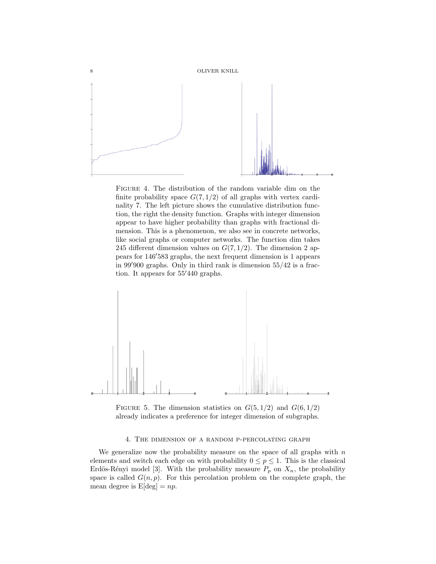

Figure 4. The distribution of the random variable dim on the finite probability space  $G(7, 1/2)$  of all graphs with vertex cardinality 7. The left picture shows the cumulative distribution function, the right the density function. Graphs with integer dimension appear to have higher probability than graphs with fractional dimension. This is a phenomenon, we also see in concrete networks, like social graphs or computer networks. The function dim takes 245 different dimension values on  $G(7, 1/2)$ . The dimension 2 appears for 146'583 graphs, the next frequent dimension is 1 appears in  $99'900$  graphs. Only in third rank is dimension  $55/42$  is a fraction. It appears for  $55'440$  graphs.



FIGURE 5. The dimension statistics on  $G(5, 1/2)$  and  $G(6, 1/2)$ already indicates a preference for integer dimension of subgraphs.

## 4. The dimension of a random p-percolating graph

We generalize now the probability measure on the space of all graphs with  $n$ elements and switch each edge on with probability  $0 \le p \le 1$ . This is the classical Erdös-Rényi model [3]. With the probability measure  $P_p$  on  $X_n$ , the probability space is called  $G(n, p)$ . For this percolation problem on the complete graph, the mean degree is  $E[\text{deg}] = np$ .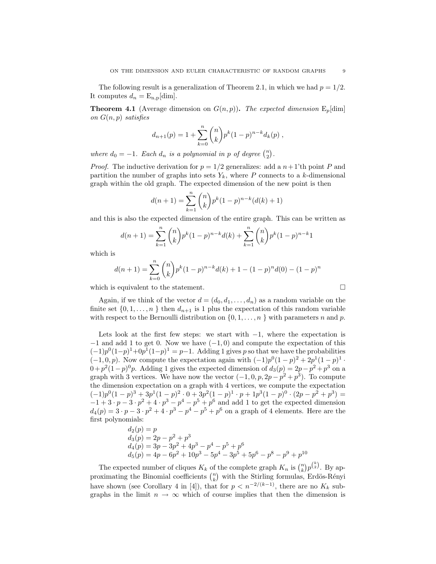The following result is a generalization of Theorem 2.1, in which we had  $p = 1/2$ . It computes  $d_n = \mathrm{E}_{\mathrm{n,p}}[\dim].$ 

**Theorem 4.1** (Average dimension on  $G(n, p)$ ). The expected dimension  $E_p$ [dim] on  $G(n, p)$  satisfies

$$
d_{n+1}(p) = 1 + \sum_{k=0}^{n} {n \choose k} p^{k} (1-p)^{n-k} d_{k}(p) ,
$$

where  $d_0 = -1$ . Each  $d_n$  is a polynomial in p of degree  $\binom{n}{2}$ .

*Proof.* The inductive derivation for  $p = 1/2$  generalizes: add a  $n+1$ 'th point P and partition the number of graphs into sets  $Y_k$ , where P connects to a k-dimensional graph within the old graph. The expected dimension of the new point is then

$$
d(n+1) = \sum_{k=1}^{n} {n \choose k} p^{k} (1-p)^{n-k} (d(k) + 1)
$$

and this is also the expected dimension of the entire graph. This can be written as

$$
d(n+1) = \sum_{k=1}^{n} {n \choose k} p^{k} (1-p)^{n-k} d(k) + \sum_{k=1}^{n} {n \choose k} p^{k} (1-p)^{n-k} 1
$$

which is

$$
d(n+1) = \sum_{k=0}^{n} {n \choose k} p^{k} (1-p)^{n-k} d(k) + 1 - (1-p)^{n} d(0) - (1-p)^{n}
$$

which is equivalent to the statement.  $\Box$ 

Again, if we think of the vector  $d = (d_0, d_1, \ldots, d_n)$  as a random variable on the finite set  $\{0, 1, \ldots, n\}$  then  $d_{n+1}$  is 1 plus the expectation of this random variable with respect to the Bernoulli distribution on  $\{0, 1, \ldots, n\}$  with parameters n and p.

Lets look at the first few steps: we start with  $-1$ , where the expectation is  $-1$  and add 1 to get 0. Now we have  $(-1, 0)$  and compute the expectation of this  $(-1)p^{0}(1-p)^{1}+0p^{1}(1-p)^{1}=p-1$ . Adding 1 gives p so that we have the probabilities  $(-1,0,p)$ . Now compute the expectation again with  $(-1)p^{0}(1-p)^{2} + 2p^{1}(1-p)^{1}$ .  $0 + p^2(1-p)^0p$ . Adding 1 gives the expected dimension of  $d_3(p) = 2p - p^2 + p^3$  on a graph with 3 vertices. We have now the vector  $(-1, 0, p, 2p - p^2 + p^3)$ . To compute the dimension expectation on a graph with 4 vertices, we compute the expectation  $(-1)p^{0}(1-p)^{3} + 3p^{1}(1-p)^{2} \cdot 0 + 3p^{2}(1-p)^{1} \cdot p + 1p^{3}(1-p)^{0} \cdot (2p-p^{2}+p^{3}) =$  $-1+3\cdot p-3\cdot p^2+4\cdot p^3-p^4-p^5+p^6$  and add 1 to get the expected dimension  $d_4(p) = 3 \cdot p - 3 \cdot p^2 + 4 \cdot p^3 - p^4 - p^5 + p^6$  on a graph of 4 elements. Here are the first polynomials:

$$
d_2(p) = p
$$
  
\n
$$
d_3(p) = 2p - p^2 + p^3
$$
  
\n
$$
d_4(p) = 3p - 3p^2 + 4p^3 - p^4 - p^5 + p^6
$$
  
\n
$$
d_5(p) = 4p - 6p^2 + 10p^3 - 5p^4 - 3p^5 + 5p^6 - p^8 - p^9 + p^{10}
$$

The expected number of cliques  $K_k$  of the complete graph  $K_n$  is  $\binom{n}{k} p^{\binom{k}{2}}$ . By approximating the Binomial coefficients  $\binom{n}{k}$  with the Stirling formulas, Erdös-Rényi have shown (see Corollary 4 in [4]), that for  $p < n^{-2/(k-1)}$ , there are no  $K_k$  subgraphs in the limit  $n \to \infty$  which of course implies that then the dimension is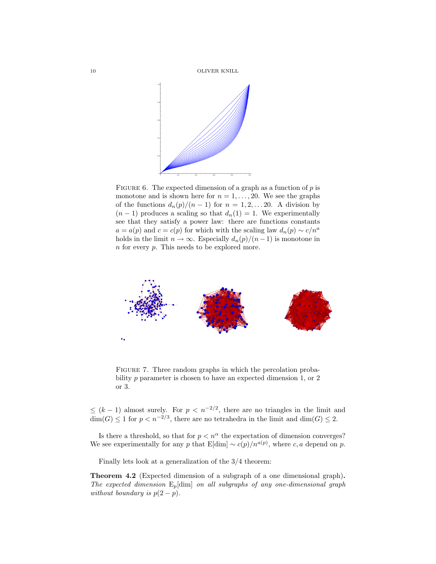10 OLIVER KNILL



FIGURE 6. The expected dimension of a graph as a function of  $p$  is monotone and is shown here for  $n = 1, \ldots, 20$ . We see the graphs of the functions  $d_n(p)/(n-1)$  for  $n = 1, 2, \ldots 20$ . A division by  $(n-1)$  produces a scaling so that  $d_n(1) = 1$ . We experimentally see that they satisfy a power law: there are functions constants  $a = a(p)$  and  $c = c(p)$  for which with the scaling law  $d_n(p) \sim c/n^a$ holds in the limit  $n \to \infty$ . Especially  $d_n(p)/(n-1)$  is monotone in n for every p. This needs to be explored more.



FIGURE 7. Three random graphs in which the percolation probability p parameter is chosen to have an expected dimension 1, or 2 or 3.

 $\leq (k-1)$  almost surely. For  $p < n^{-2/2}$ , there are no triangles in the limit and  $\dim(G) \leq 1$  for  $p < n^{-2/3}$ , there are no tetrahedra in the limit and  $\dim(G) \leq 2$ .

Is there a threshold, so that for  $p < n^{\alpha}$  the expectation of dimension converges? We see experimentally for any p that  $E[\dim] \sim c(p)/n^{a(p)}$ , where c, a depend on p.

Finally lets look at a generalization of the 3/4 theorem:

Theorem 4.2 (Expected dimension of a subgraph of a one dimensional graph). The expected dimension  $E_p$ [dim] on all subgraphs of any one-dimensional graph without boundary is  $p(2-p)$ .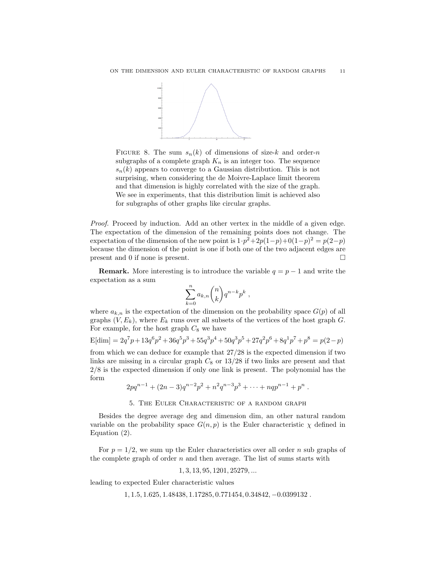

FIGURE 8. The sum  $s_n(k)$  of dimensions of size-k and order-n subgraphs of a complete graph  $K_n$  is an integer too. The sequence  $s_n(k)$  appears to converge to a Gaussian distribution. This is not surprising, when considering the de Moivre-Laplace limit theorem and that dimension is highly correlated with the size of the graph. We see in experiments, that this distribution limit is achieved also for subgraphs of other graphs like circular graphs.

Proof. Proceed by induction. Add an other vertex in the middle of a given edge. The expectation of the dimension of the remaining points does not change. The expectation of the dimension of the new point is  $1 \cdot p^2 + 2p(1-p) + 0(1-p)^2 = p(2-p)$ because the dimension of the point is one if both one of the two adjacent edges are present and 0 if none is present.

**Remark.** More interesting is to introduce the variable  $q = p - 1$  and write the expectation as a sum

$$
\sum_{k=0}^n a_{k,n} \binom{n}{k} q^{n-k} p^k ,
$$

where  $a_{k,n}$  is the expectation of the dimension on the probability space  $G(p)$  of all graphs  $(V, E_k)$ , where  $E_k$  runs over all subsets of the vertices of the host graph  $G$ . For example, for the host graph  $C_8$  we have

$$
E[\text{dim}] = 2q^7p + 13q^6p^2 + 36q^5p^3 + 55q^3p^4 + 50q^3p^5 + 27q^2p^6 + 8q^1p^7 + p^8 = p(2-p)
$$

from which we can deduce for example that 27/28 is the expected dimension if two links are missing in a circular graph  $C_8$  or  $13/28$  if two links are present and that 2/8 is the expected dimension if only one link is present. The polynomial has the form

$$
2pq^{n-1} + (2n-3)q^{n-2}p^2 + n^2q^{n-3}p^3 + \cdots + nqp^{n-1} + p^n.
$$

## 5. The Euler Characteristic of a random graph

Besides the degree average deg and dimension dim, an other natural random variable on the probability space  $G(n, p)$  is the Euler characteristic  $\chi$  defined in Equation (2).

For  $p = 1/2$ , we sum up the Euler characteristics over all order n sub graphs of the complete graph of order  $n$  and then average. The list of sums starts with

$$
1, 3, 13, 95, 1201, 25279, \dots
$$

leading to expected Euler characteristic values

1, 1.5, 1.625, 1.48438, 1.17285, 0.771454, 0.34842, −0.0399132 .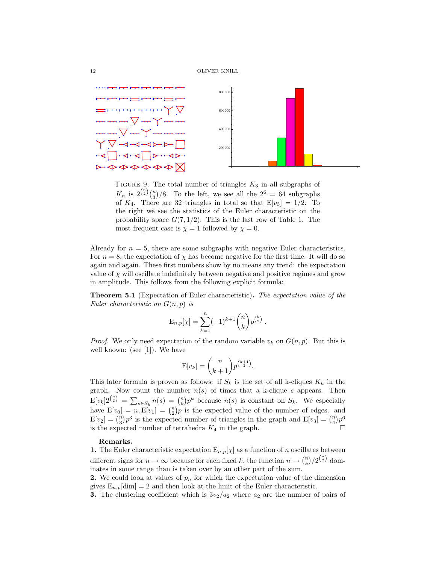

FIGURE 9. The total number of triangles  $K_3$  in all subgraphs of  $K_n$  is  $2^{\binom{n}{2}}{\binom{n}{3}}$ /8. To the left, we see all the  $2^6 = 64$  subgraphs of  $K_4$ . There are 32 triangles in total so that  $E[v_3] = 1/2$ . To the right we see the statistics of the Euler characteristic on the probability space  $G(7, 1/2)$ . This is the last row of Table 1. The most frequent case is  $\chi = 1$  followed by  $\chi = 0$ .

Already for  $n = 5$ , there are some subgraphs with negative Euler characteristics. For  $n = 8$ , the expectation of  $\chi$  has become negative for the first time. It will do so again and again. These first numbers show by no means any trend: the expectation value of  $\chi$  will oscillate indefinitely between negative and positive regimes and grow in amplitude. This follows from the following explicit formula:

Theorem 5.1 (Expectation of Euler characteristic). The expectation value of the Euler characteristic on  $G(n, p)$  is

$$
E_{n,p}[\chi] = \sum_{k=1}^{n} (-1)^{k+1} {n \choose k} p^{{k \choose 2}}.
$$

*Proof.* We only need expectation of the random variable  $v_k$  on  $G(n, p)$ . But this is well known: (see [1]). We have

$$
E[v_k] = \binom{n}{k+1} p^{\binom{k+1}{2}}.
$$

This later formula is proven as follows: if  $S_k$  is the set of all k-cliques  $K_k$  in the graph. Now count the number  $n(s)$  of times that a k-clique s appears. Then  $E[v_k]2^{n \choose 2} = \sum_{s \in S_k} n(s) = {n \choose k} p^k$  because  $n(s)$  is constant on  $S_k$ . We especially have  $E[v_0] = n, E[v_1] = \binom{n}{2} p$  is the expected value of the number of edges. and  $E[v_2] = \binom{n}{3} p^3$  is the expected number of triangles in the graph and  $E[v_3] = \binom{n}{4} p^6$ is the expected number of tetrahedra  $K_4$  in the graph.

### Remarks.

1. The Euler characteristic expectation  $E_{n,p}[\chi]$  as a function of n oscillates between different signs for  $n \to \infty$  because for each fixed k, the function  $n \to {n \choose k}/2^{{n \choose 2}}$  dominates in some range than is taken over by an other part of the sum.

2. We could look at values of  $p_n$  for which the expectation value of the dimension gives  $E_{n,p}$ [dim] = 2 and then look at the limit of the Euler characteristic.

3. The clustering coefficient which is  $3v_2/a_2$  where  $a_2$  are the number of pairs of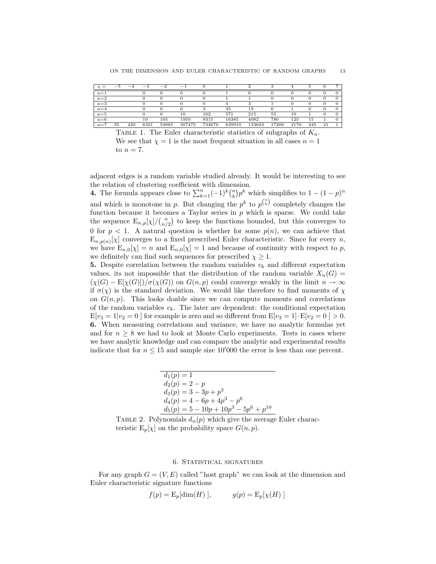| $=$     | $\overline{\phantom{0}}$ | -<br>$-4$ | $^{-3}$ | $-2$  | $-1$   |        |        |        |       |      |     |    |  |
|---------|--------------------------|-----------|---------|-------|--------|--------|--------|--------|-------|------|-----|----|--|
| $n=1$   |                          |           |         |       |        |        |        |        |       |      |     |    |  |
| $n=2$   |                          |           |         |       |        |        |        |        |       |      |     |    |  |
| $n=3$   |                          |           |         |       |        |        |        |        |       |      |     |    |  |
| $n=4$   |                          |           |         |       |        |        | 35     | 19     |       |      |     |    |  |
| $n=5$   |                          |           |         |       | 10     | 162    | 571    | 215    | 55    | 10   |     |    |  |
| $n=6$   |                          |           | 10      | 105   | 1950   | 9315   | 16385  | 4082   | 780   | 125  | 15  |    |  |
| $n = 1$ | 35                       | 420       | 6321    | 54985 | 307475 | 734670 | 839910 | 133693 | 17206 | 2170 | 245 | 21 |  |

TABLE 1. The Euler characteristic statistics of subgraphs of  $K_n$ . We see that  $\chi = 1$  is the most frequent situation in all cases  $n = 1$ to  $n = 7$ .

adjacent edges is a random variable studied already. It would be interesting to see the relation of clustering coefficient with dimension.

**4.** The formula appears close to  $\sum_{k=1}^{n}(-1)^{k} \binom{n}{k} p^{k}$  which simplifies to  $1 - (1 - p)^{n}$ and which is monotone in p. But changing the  $p^k$  to  $p^{n \choose k}$  completely changes the function because it becomes a Taylor series in  $p$  which is sparse. We could take the sequence  $\mathbb{E}_{n,p}[\chi]/\binom{n}{n/2}$  to keep the functions bounded, but this converges to 0 for  $p < 1$ . A natural question is whether for some  $p(n)$ , we can achieve that  $\mathbb{E}_{n,p(n)}[\chi]$  converges to a fixed prescribed Euler characteristic. Since for every n, we have  $E_{n,0}[\chi] = n$  and  $E_{n,0}[\chi] = 1$  and because of continuity with respect to p, we definitely can find such sequences for prescribed  $\chi \geq 1$ .

5. Despite correlation between the random variables  $v_k$  and different expectation values, its not impossible that the distribution of the random variable  $X_n(G)$  =  $(\chi(G) - \mathbb{E}[\chi(G)])/\sigma(\chi(G))$  on  $G(n, p)$  could converge weakly in the limit  $n \to \infty$ if  $\sigma(\chi)$  is the standard deviation. We would like therefore to find moments of  $\chi$ on  $G(n, p)$ . This looks doable since we can compute moments and correlations of the random variables  $v_k$ . The later are dependent: the conditional expectation  $E[v_3 = 1|v_2 = 0]$  for example is zero and so different from  $E[v_3 = 1] \cdot E[v_2 = 0] > 0$ . 6. When measuring correlations and variance, we have no analytic formulas yet and for  $n \geq 8$  we had to look at Monte Carlo experiments. Tests in cases where we have analytic knowledge and can compare the analytic and experimental results indicate that for  $n \leq 15$  and sample size 10'000 the error is less than one percent.

$$
d_1(p) = 1
$$
  
\n
$$
d_2(p) = 2 - p
$$
  
\n
$$
d_3(p) = 3 - 3p + p^3
$$
  
\n
$$
d_4(p) = 4 - 6p + 4p^3 - p^6
$$
  
\n
$$
d_5(p) = 5 - 10p + 10p^3 - 5p^6 + p^{10}
$$

TABLE 2. Polynomials  $d_n(p)$  which give the average Euler characteristic  $E_p[\chi]$  on the probability space  $G(n, p)$ .

## 6. Statistical signatures

For any graph  $G = (V, E)$  called "host graph" we can look at the dimension and Euler characteristic signature functions

$$
f(p) = \mathcal{E}_p[\dim(H)], \qquad g(p) = \mathcal{E}_p[\chi(H)]
$$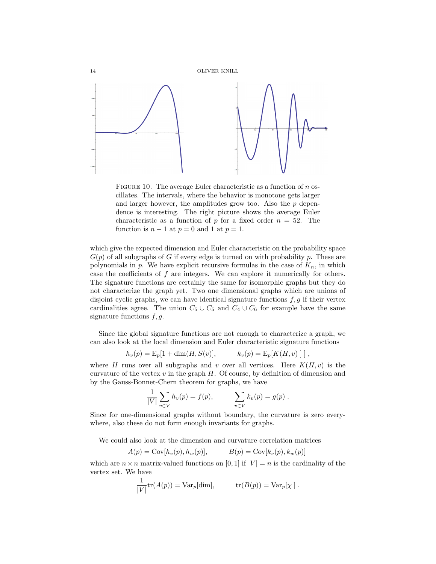

FIGURE 10. The average Euler characteristic as a function of  $n$  oscillates. The intervals, where the behavior is monotone gets larger and larger however, the amplitudes grow too. Also the  $p$  dependence is interesting. The right picture shows the average Euler characteristic as a function of p for a fixed order  $n = 52$ . The function is  $n-1$  at  $p=0$  and 1 at  $p=1$ .

which give the expected dimension and Euler characteristic on the probability space  $G(p)$  of all subgraphs of G if every edge is turned on with probability p. These are polynomials in p. We have explicit recursive formulas in the case of  $K_n$ , in which case the coefficients of  $f$  are integers. We can explore it numerically for others. The signature functions are certainly the same for isomorphic graphs but they do not characterize the graph yet. Two one dimensional graphs which are unions of disjoint cyclic graphs, we can have identical signature functions  $f, g$  if their vertex cardinalities agree. The union  $C_5 \cup C_5$  and  $C_4 \cup C_6$  for example have the same signature functions  $f, g$ .

Since the global signature functions are not enough to characterize a graph, we can also look at the local dimension and Euler characteristic signature functions

$$
h_v(p) = \mathcal{E}_p[1 + \dim(H, S(v)], \qquad k_v(p) = \mathcal{E}_p[K(H, v)]],
$$

where H runs over all subgraphs and v over all vertices. Here  $K(H, v)$  is the curvature of the vertex v in the graph  $H$ . Of course, by definition of dimension and by the Gauss-Bonnet-Chern theorem for graphs, we have

$$
\frac{1}{|V|} \sum_{v \in V} h_v(p) = f(p), \qquad \sum_{v \in V} k_v(p) = g(p) .
$$

Since for one-dimensional graphs without boundary, the curvature is zero everywhere, also these do not form enough invariants for graphs.

We could also look at the dimension and curvature correlation matrices

$$
A(p) = \text{Cov}[h_v(p), h_w(p)], \qquad B(p) = \text{Cov}[k_v(p), k_w(p)]
$$

which are  $n \times n$  matrix-valued functions on [0, 1] if  $|V| = n$  is the cardinality of the vertex set. We have

$$
\frac{1}{|V|}\text{tr}(A(p)) = \text{Var}_p[\text{dim}], \quad \text{tr}(B(p)) = \text{Var}_p[\chi].
$$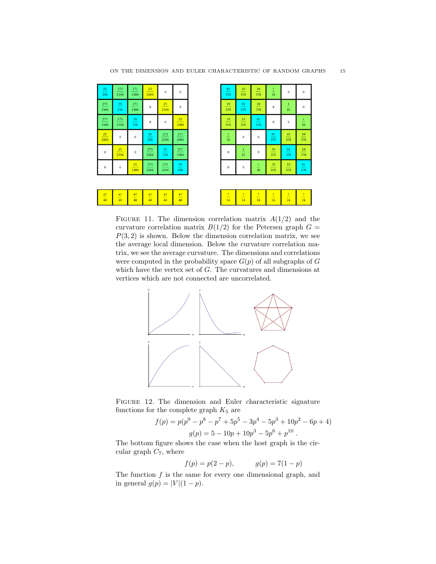

| 91<br>576               | 19<br>576             | 19<br>576             | $\frac{1}{16}$        | $\bf{0}$                | $\overline{0}$        |
|-------------------------|-----------------------|-----------------------|-----------------------|-------------------------|-----------------------|
| 19<br>576               | 91<br>576             | $\frac{19}{2}$<br>576 | $\bf{0}$              | $\frac{1}{16}$          | $\bf{0}$              |
| $19\,$<br>576           | $\frac{19}{2}$<br>576 | $\frac{91}{2}$<br>576 | $\bf{0}$              | $\overline{\mathbf{0}}$ | $\frac{1}{16}$        |
| $\overset{1}{-}$<br>16  | $\bf{0}$              | 0                     | 91<br>576             | $19\,$<br>576           | 19<br>576             |
| 0                       | $\frac{1}{16}$        | 0                     | $\frac{19}{2}$<br>576 | 91<br>576               | $19\,$<br>576         |
| $\overline{\mathbf{0}}$ | 0                     | $\frac{1}{16}$        | $\frac{19}{2}$<br>576 | $\frac{19}{2}$<br>576   | $\frac{91}{2}$<br>576 |

|--|--|--|--|--|

FIGURE 11. The dimension correlation matrix  $A(1/2)$  and the curvature correlation matrix  $B(1/2)$  for the Petersen graph  $G =$  $P(3, 2)$  is shown. Below the dimension correlation matrix, we see the average local dimension. Below the curvature correlation matrix, we see the average curvature. The dimensions and correlations were computed in the probability space  $G(p)$  of all subgraphs of G which have the vertex set of  $G$ . The curvatures and dimensions at vertices which are not connected are uncorrelated.



FIGURE 12. The dimension and Euler characteristic signature functions for the complete graph  $K_5$  are

$$
f(p) = p(p^{9} - p^{8} - p^{7} + 5p^{5} - 3p^{4} - 5p^{3} + 10p^{2} - 6p + 4)
$$
  

$$
g(p) = 5 - 10p + 10p^{3} - 5p^{6} + p^{10}.
$$

The bottom figure shows the case when the host graph is the circular graph  $C_7$ , where

$$
f(p) = p(2 - p), \t\t g(p) = 7(1 - p)
$$

The function  $f$  is the same for every one dimensional graph, and in general  $g(p) = |V|(1 - p)$ .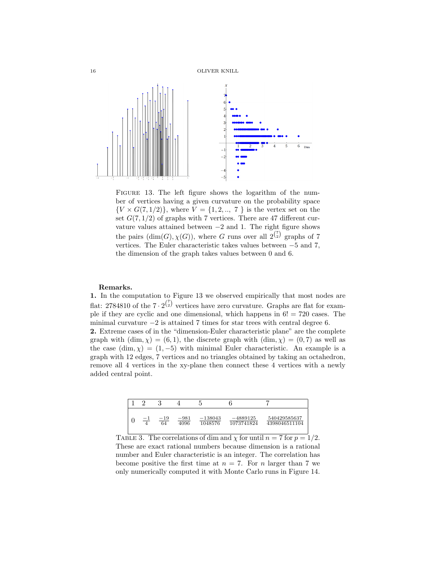

FIGURE 13. The left figure shows the logarithm of the number of vertices having a given curvature on the probability space  ${V \times G(7,1/2)}$ , where  $V = {1, 2, ..., 7}$  is the vertex set on the set  $G(7, 1/2)$  of graphs with 7 vertices. There are 47 different curvature values attained between  $-2$  and 1. The right figure shows the pairs  $(\dim(G), \chi(G))$ , where G runs over all  $2^{r \choose 2}$  graphs of 7 vertices. The Euler characteristic takes values between −5 and 7, the dimension of the graph takes values between 0 and 6.

#### Remarks.

1. In the computation to Figure 13 we observed empirically that most nodes are flat: 2784810 of the  $7 \cdot 2^{7 \choose 2}$  vertices have zero curvature. Graphs are flat for example if they are cyclic and one dimensional, which happens in  $6! = 720$  cases. The minimal curvature  $-2$  is attained 7 times for star trees with central degree 6. 2. Extreme cases of in the "dimension-Euler characteristic plane" are the complete graph with  $(\dim, \chi) = (6, 1)$ , the discrete graph with  $(\dim, \chi) = (0, 7)$  as well as the case  $(\dim, \chi) = (1, -5)$  with minimal Euler characteristic. An example is a graph with 12 edges, 7 vertices and no triangles obtained by taking an octahedron, remove all 4 vertices in the xy-plane then connect these 4 vertices with a newly added central point.



TABLE 3. The correlations of dim and  $\chi$  for until  $n = 7$  for  $p = 1/2$ . These are exact rational numbers because dimension is a rational number and Euler characteristic is an integer. The correlation has become positive the first time at  $n = 7$ . For n larger than 7 we only numerically computed it with Monte Carlo runs in Figure 14.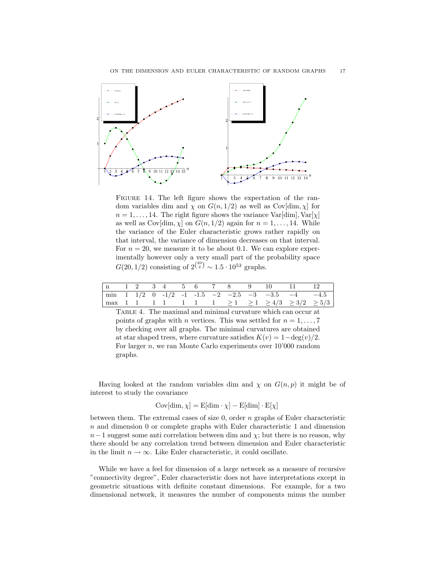

FIGURE 14. The left figure shows the expectation of the random variables dim and  $\chi$  on  $G(n, 1/2)$  as well as Cov[dim,  $\chi$ ] for  $n = 1, \ldots, 14$ . The right figure shows the variance Var[dim], Var[ $\chi$ ] as well as  $Cov$ [dim,  $\chi$ ] on  $G(n, 1/2)$  again for  $n = 1, \ldots, 14$ . While the variance of the Euler characteristic grows rather rapidly on that interval, the variance of dimension decreases on that interval. For  $n = 20$ , we measure it to be about 0.1. We can explore experimentally however only a very small part of the probability space  $G(20, 1/2)$  consisting of  $2^{20 \choose 2} \sim 1.5 \cdot 10^{53}$  graphs.

|  |  |  |  |  |  | $\begin{array}{ c ccccccccccc }\n\hline\nn & 1 & 2 & 3 & 4 & 5 & 6 & 7 & 8 & 9 & 10 & 11 & 12\n\end{array}$ |
|--|--|--|--|--|--|-------------------------------------------------------------------------------------------------------------|
|  |  |  |  |  |  |                                                                                                             |
|  |  |  |  |  |  |                                                                                                             |

Table 4. The maximal and minimal curvature which can occur at points of graphs with *n* vertices. This was settled for  $n = 1, \ldots, 7$ by checking over all graphs. The minimal curvatures are obtained at star shaped trees, where curvature satisfies  $K(v) = 1-\deg(v)/2$ . For larger  $n$ , we ran Monte Carlo experiments over  $10'000$  random graphs.

Having looked at the random variables dim and  $\chi$  on  $G(n, p)$  it might be of interest to study the covariance

$$
Cov[dim, \chi] = E[dim \cdot \chi] - E[dim] \cdot E[\chi]
$$

between them. The extremal cases of size  $0$ , order  $n$  graphs of Euler characteristic  $n$  and dimension 0 or complete graphs with Euler characteristic 1 and dimension  $n-1$  suggest some anti-correlation between dim and  $\chi$ ; but there is no reason, why there should be any correlation trend between dimension and Euler characteristic in the limit  $n \to \infty$ . Like Euler characteristic, it could oscillate.

While we have a feel for dimension of a large network as a measure of recursive "connectivity degree", Euler characteristic does not have interpretations except in geometric situations with definite constant dimensions. For example, for a two dimensional network, it measures the number of components minus the number